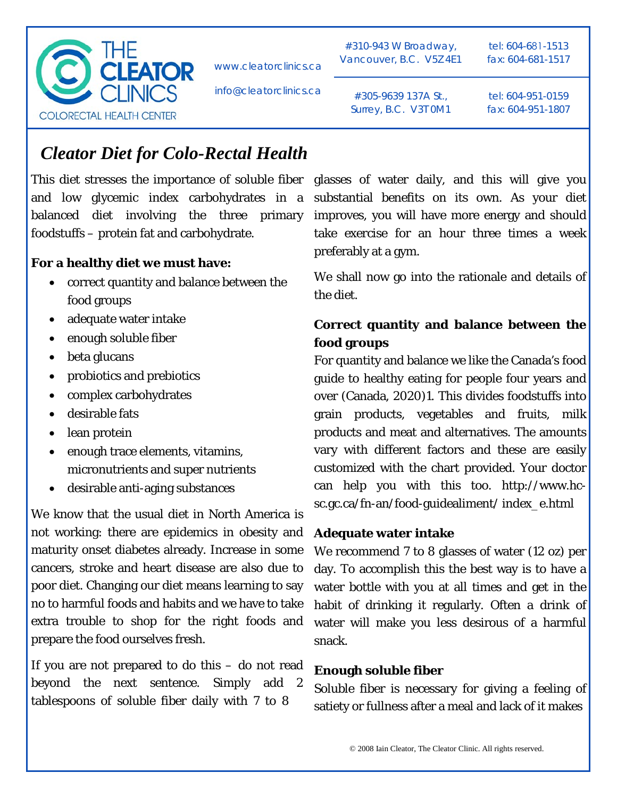

info@cleatorclinics.ca

#310-943 W Broadway, Vancouver, B.C. V5Z 4E1 tel: 604-681-1513 fax: 604-681-1517

#305-9639 137A St., Surrey, B.C. V3T 0M1 tel: 604-951-0159 fax: 604-951-1807

# *Cleator Diet for Colo-Rectal Health*

This diet stresses the importance of soluble fiber glasses of water daily, and this will give you and low glycemic index carbohydrates in a balanced diet involving the three primary foodstuffs – protein fat and carbohydrate.

#### **For a healthy diet we must have:**

- correct quantity and balance between the food groups
- adequate water intake
- enough soluble fiber
- beta glucans
- probiotics and prebiotics
- complex carbohydrates
- desirable fats
- lean protein
- enough trace elements, vitamins, micronutrients and super nutrients
- desirable anti-aging substances

We know that the usual diet in North America is not working: there are epidemics in obesity and maturity onset diabetes already. Increase in some cancers, stroke and heart disease are also due to poor diet. Changing our diet means learning to say no to harmful foods and habits and we have to take extra trouble to shop for the right foods and prepare the food ourselves fresh.

If you are not prepared to do this – do not read beyond the next sentence. Simply add 2 tablespoons of soluble fiber daily with 7 to 8

substantial benefits on its own. As your diet improves, you will have more energy and should take exercise for an hour three times a week preferably at a gym.

We shall now go into the rationale and details of the diet.

## **Correct quantity and balance between the food groups**

For quantity and balance we like the Canada's food guide to healthy eating for people four years and over (Canada, 2020)1. This divides foodstuffs into grain products, vegetables and fruits, milk products and meat and alternatives. The amounts vary with different factors and these are easily customized with the chart provided. Your doctor can help you with this too. http://www.hcsc.gc.ca/fn-an/food-guidealiment/ index\_e.html

#### **Adequate water intake**

We recommend 7 to 8 glasses of water (12 oz) per day. To accomplish this the best way is to have a water bottle with you at all times and get in the habit of drinking it regularly. Often a drink of water will make you less desirous of a harmful snack.

#### **Enough soluble fiber**

Soluble fiber is necessary for giving a feeling of satiety or fullness after a meal and lack of it makes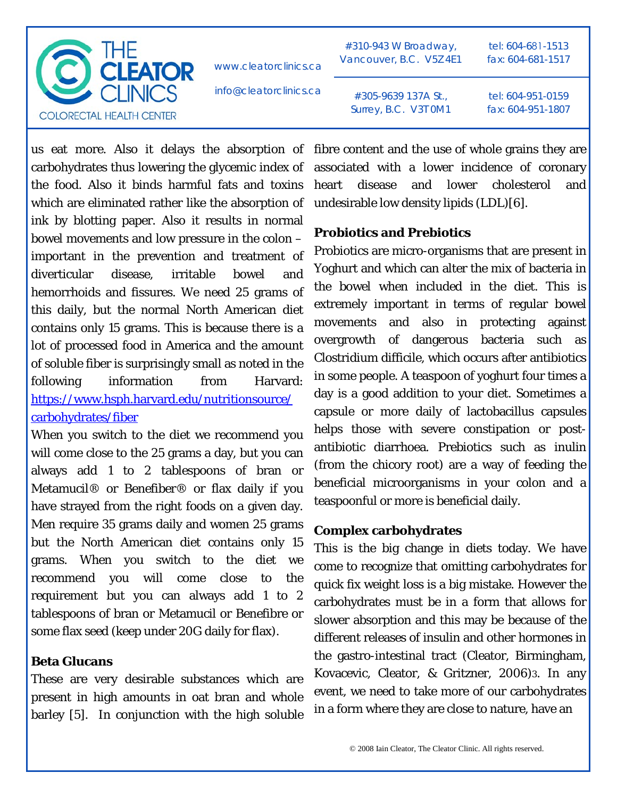

info@cleatorclinics.ca

#310-943 W Broadway, Vancouver, B.C. V5Z 4E1 tel: 604-681-1513 fax: 604-681-1517

#305-9639 137A St., Surrey, B.C. V3T 0M1 tel: 604-951-0159 fax: 604-951-1807

carbohydrates thus lowering the glycemic index of the food. Also it binds harmful fats and toxins which are eliminated rather like the absorption of ink by blotting paper. Also it results in normal bowel movements and low pressure in the colon – important in the prevention and treatment of diverticular disease, irritable bowel and hemorrhoids and fissures. We need 25 grams of this daily, but the normal North American diet contains only 15 grams. This is because there is a lot of processed food in America and the amount of soluble fiber is surprisingly small as noted in the following information from Harvard: [https://www.hsph.harvard.edu/nutritionsource/](https://www.hsph.harvard.edu/nutritionsource/carbohydrates/fiber/) [carbohydrates/fiber](https://www.hsph.harvard.edu/nutritionsource/carbohydrates/fiber/)

When you switch to the diet we recommend you will come close to the 25 grams a day, but you can always add 1 to 2 tablespoons of bran or Metamucil® or Benefiber® or flax daily if you have strayed from the right foods on a given day. Men require 35 grams daily and women 25 grams but the North American diet contains only 15 grams. When you switch to the diet we recommend you will come close to the requirement but you can always add 1 to 2 tablespoons of bran or Metamucil or Benefibre or some flax seed (keep under 20G daily for flax).

## **Beta Glucans**

These are very desirable substances which are present in high amounts in oat bran and whole barley [5]. In conjunction with the high soluble

us eat more. Also it delays the absorption of fibre content and the use of whole grains they are associated with a lower incidence of coronary heart disease and lower cholesterol and undesirable low density lipids (LDL)[6].

# **Probiotics and Prebiotics**

Probiotics are micro-organisms that are present in Yoghurt and which can alter the mix of bacteria in the bowel when included in the diet. This is extremely important in terms of regular bowel movements and also in protecting against overgrowth of dangerous bacteria such as Clostridium difficile, which occurs after antibiotics in some people. A teaspoon of yoghurt four times a day is a good addition to your diet. Sometimes a capsule or more daily of lactobacillus capsules helps those with severe constipation or postantibiotic diarrhoea. Prebiotics such as inulin (from the chicory root) are a way of feeding the beneficial microorganisms in your colon and a teaspoonful or more is beneficial daily.

# **Complex carbohydrates**

This is the big change in diets today. We have come to recognize that omitting carbohydrates for quick fix weight loss is a big mistake. However the carbohydrates must be in a form that allows for slower absorption and this may be because of the different releases of insulin and other hormones in the gastro-intestinal tract (Cleator, Birmingham, Kovacevic, Cleator, & Gritzner, 2006)3. In any event, we need to take more of our carbohydrates in a form where they are close to nature, have an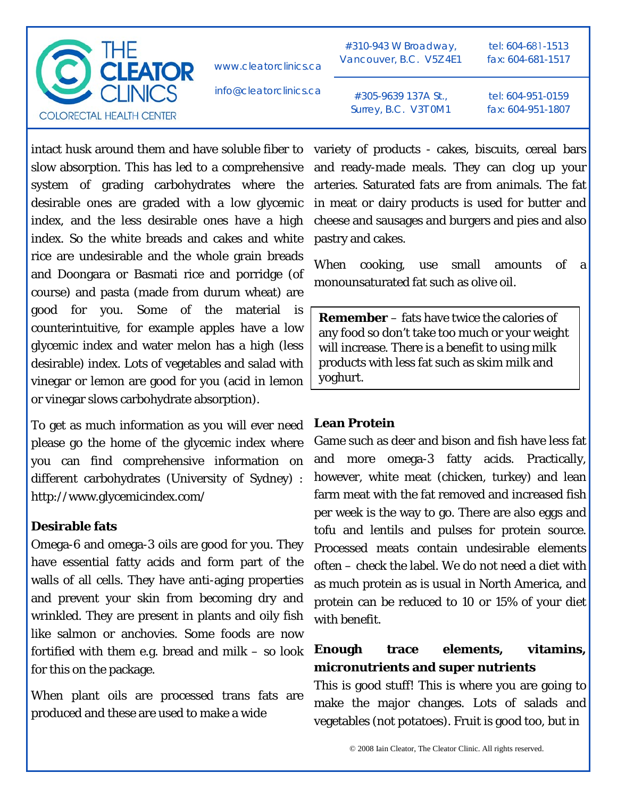

info@cleatorclinics.ca

#310-943 W Broadway, Vancouver, B.C. V5Z 4E1 tel: 604-681-1513 fax: 604-681-1517

#305-9639 137A St., Surrey, B.C. V3T 0M1

tel: 604-951-0159 fax: 604-951-1807

intact husk around them and have soluble fiber to slow absorption. This has led to a comprehensive system of grading carbohydrates where the desirable ones are graded with a low glycemic index, and the less desirable ones have a high index. So the white breads and cakes and white rice are undesirable and the whole grain breads and Doongara or Basmati rice and porridge (of course) and pasta (made from durum wheat) are good for you. Some of the material is counterintuitive, for example apples have a low glycemic index and water melon has a high (less desirable) index. Lots of vegetables and salad with vinegar or lemon are good for you (acid in lemon or vinegar slows carbohydrate absorption).

To get as much information as you will ever need please go the home of the glycemic index where you can find comprehensive information on different carbohydrates (University of Sydney) : http://www.glycemicindex.com/

### **Desirable fats**

Omega-6 and omega-3 oils are good for you. They have essential fatty acids and form part of the walls of all cells. They have anti-aging properties and prevent your skin from becoming dry and wrinkled. They are present in plants and oily fish like salmon or anchovies. Some foods are now fortified with them e.g. bread and milk – so look for this on the package.

When plant oils are processed trans fats are produced and these are used to make a wide

variety of products - cakes, biscuits, cereal bars and ready-made meals. They can clog up your arteries. Saturated fats are from animals. The fat in meat or dairy products is used for butter and cheese and sausages and burgers and pies and also pastry and cakes.

When cooking, use small amounts of a monounsaturated fat such as olive oil.

**Remember** – fats have twice the calories of any food so don't take too much or your weight will increase. There is a benefit to using milk products with less fat such as skim milk and yoghurt.

#### **Lean Protein**

Game such as deer and bison and fish have less fat and more omega-3 fatty acids. Practically, however, white meat (chicken, turkey) and lean farm meat with the fat removed and increased fish per week is the way to go. There are also eggs and tofu and lentils and pulses for protein source. Processed meats contain undesirable elements often – check the label. We do not need a diet with as much protein as is usual in North America, and protein can be reduced to 10 or 15% of your diet with benefit.

## **Enough trace elements, vitamins, micronutrients and super nutrients**

This is good stuff! This is where you are going to make the major changes. Lots of salads and vegetables (not potatoes). Fruit is good too, but in

© 2008 Iain Cleator, The Cleator Clinic. All rights reserved.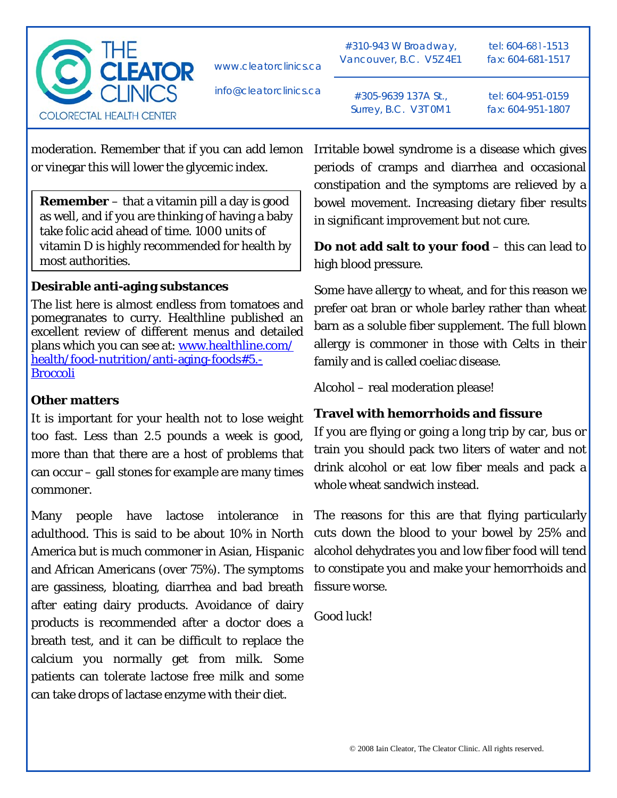

info@cleatorclinics.ca

#310-943 W Broadway, Vancouver, B.C. V5Z 4E1 tel: 604-681-1513 fax: 604-681-1517

#305-9639 137A St., Surrey, B.C. V3T 0M1 tel: 604-951-0159 fax: 604-951-1807

moderation. Remember that if you can add lemon or vinegar this will lower the glycemic index.

**Remember** – that a vitamin pill a day is good as well, and if you are thinking of having a baby take folic acid ahead of time. 1000 units of vitamin D is highly recommended for health by most authorities.

## **Desirable anti-aging substances**

The list here is almost endless from tomatoes and pomegranates to curry. Healthline published an excellent review of different menus and detailed plans which you can see at: [www.healthline.com/](https://www.healthline.com/health/food-nutrition/anti-aging-foods#5.-Broccoli) [health/food-nutrition/anti-aging-foods#5.-](https://www.healthline.com/health/food-nutrition/anti-aging-foods#5.-Broccoli) [Broccoli](https://www.healthline.com/health/food-nutrition/anti-aging-foods#5.-Broccoli)

## **Other matters**

It is important for your health not to lose weight too fast. Less than 2.5 pounds a week is good, more than that there are a host of problems that can occur – gall stones for example are many times commoner.

Many people have lactose intolerance in adulthood. This is said to be about 10% in North America but is much commoner in Asian, Hispanic and African Americans (over 75%). The symptoms are gassiness, bloating, diarrhea and bad breath after eating dairy products. Avoidance of dairy products is recommended after a doctor does a breath test, and it can be difficult to replace the calcium you normally get from milk. Some patients can tolerate lactose free milk and some can take drops of lactase enzyme with their diet.

Irritable bowel syndrome is a disease which gives periods of cramps and diarrhea and occasional constipation and the symptoms are relieved by a bowel movement. Increasing dietary fiber results in significant improvement but not cure.

**Do not add salt to your food** – this can lead to high blood pressure.

Some have allergy to wheat, and for this reason we prefer oat bran or whole barley rather than wheat barn as a soluble fiber supplement. The full blown allergy is commoner in those with Celts in their family and is called coeliac disease.

Alcohol – real moderation please!

# **Travel with hemorrhoids and fissure**

If you are flying or going a long trip by car, bus or train you should pack two liters of water and not drink alcohol or eat low fiber meals and pack a whole wheat sandwich instead.

The reasons for this are that flying particularly cuts down the blood to your bowel by 25% and alcohol dehydrates you and low fiber food will tend to constipate you and make your hemorrhoids and fissure worse.

Good luck!